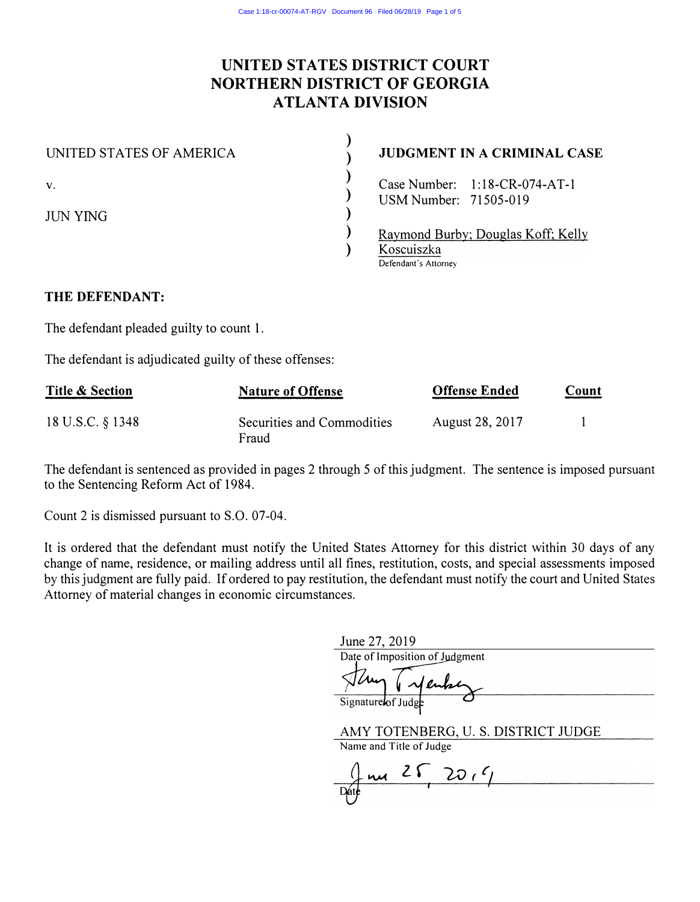# UNITED STATES DISTRICT COURT NORTHERN DISTRICT OF GEORGIA ATLANTA DIVISION

)

)

)

)

)

)

)

### UNITED STATES OF AMERICA

# JUDGMENT IN A CRIMINAL CASE

V.

**JUN YING** 

Raymond Burby; Douglas Koff; Kelly Koscuiszka Defendant's Attorney

### THE DEFENDANT:

The defendant pleaded guilty to count 1.

The defendant is adjudicated guilty of these offenses:

Case Number: 1:18-CR-074-AT-l USMNumber: 71505-019

| <b>Title &amp; Section</b> | <b>Nature of Offense</b>            | <b>Offense Ended</b> | Count |
|----------------------------|-------------------------------------|----------------------|-------|
| 18 U.S.C. § 1348           | Securities and Commodities<br>Fraud | August 28, 2017      |       |

The defendant is sentenced as provided in pages 2 through 5 of this judgment. The sentence is imposed pursuant to the Sentencing Reform Act of 1984.

Count 2 is dismissed pursuant to S.O. 07-04.

It is ordered that the defendant must notify the United States Attorney for this district within 30 days of any change of name, residence, or mailing address until all fines, restitution, costs, and special assessments imposed by this judgment are fully paid. If ordered to pay restitution, the defendant must notify the court and United States Attorney of material changes in economic circumstances.

June 27, 2019

Date of Imposition of Judgment

Signature**l**of Judg

AMY TOTENBERG, U. S. DISTRICT JUDGE

Name and Title of Judge

me 25 20,4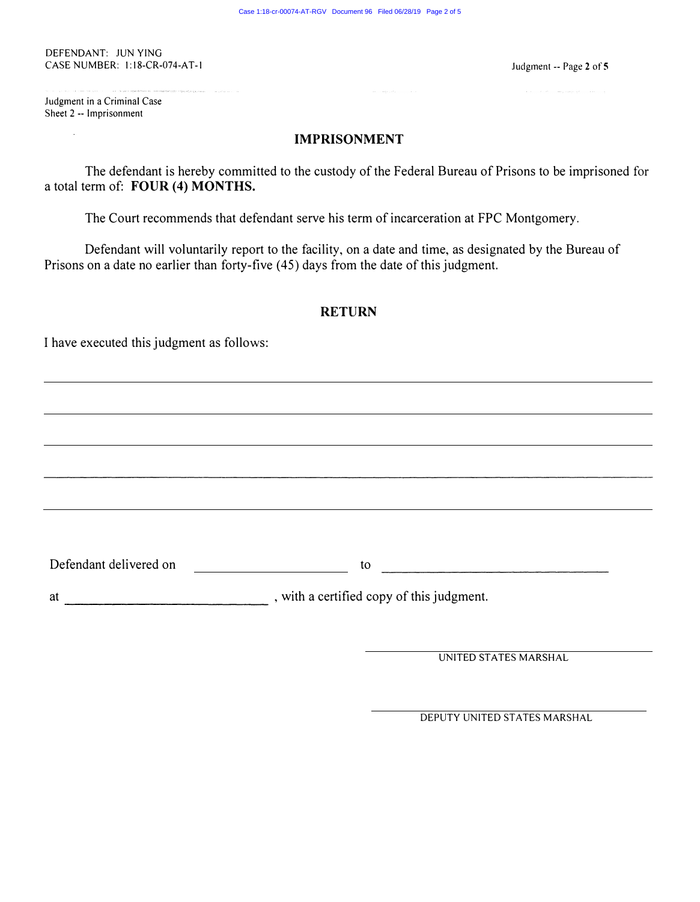# IMPRISONMENT

 $\mathcal{L}_{\text{max}}$  and  $\mathcal{L}_{\text{max}}$  are the second contract of the second contract of  $\mathcal{L}_{\text{max}}$ 

The defendant is hereby committed to the custody of the Federal Bureau of Prisons to be imprisoned for a total term of: FOUR (4) MONTHS.

The Court recommends that defendant serve his term of incarceration at FPC Montgomery.

Defendant will voluntarily report to the facility, on a date and time, as designated by the Bureau of Prisons on a date no earlier than forty-five (45) days from the date of this judgment.

# RETURN

|                                         | <b>RETURN</b>                                      |  |  |
|-----------------------------------------|----------------------------------------------------|--|--|
| have executed this judgment as follows: |                                                    |  |  |
|                                         |                                                    |  |  |
|                                         |                                                    |  |  |
|                                         |                                                    |  |  |
|                                         |                                                    |  |  |
|                                         |                                                    |  |  |
|                                         |                                                    |  |  |
| Defendant delivered on                  | to<br><u> 1980 - Jan Samuel Barbara, martin di</u> |  |  |
| at                                      | , with a certified copy of this judgment.          |  |  |
|                                         |                                                    |  |  |
|                                         | UNITED STATES MARSHAL                              |  |  |

DEPUTY UNITED STATES MARSHAL

#### DEFENDANT: JUN YING CASE NUMBER: 1:18-CR-074-AT-1

.<br>Se e se en seu en sua su proceso en 16 march<mark>a da destaca a a ampliatada (tipada mara n</mark>e es angel marece en e

Judgment -- Page 2 of 5

 $\hat{\mathcal{A}}$  , and  $\hat{\mathcal{A}}$  , where  $\hat{\mathcal{A}}$  , and the space of  $\hat{\mathcal{A}}$  , and  $\hat{\mathcal{A}}$  , and  $\hat{\mathcal{A}}$ 

Judgment in a Criminal Case Sheet 2 -- Imprisonment

 $\mathcal{L}^{\text{max}}(\mathbf{A},\mathbf{A})$  and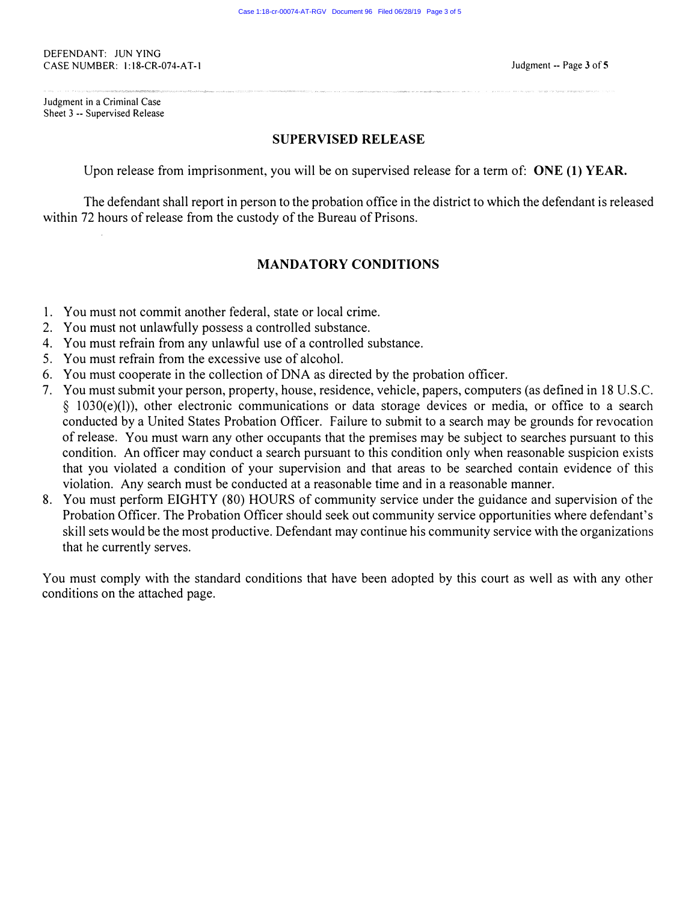Judgment in a Criminal Case Sheet 3 -- Supervised Release Judgment -- Page 3 of 5

·····-·-·······.

<···.·.-·· ··-·.· ·.·.··'.•·.•.-.•·.• ·.·:-: ...... ·:· .. :·:-:·:·:·>:·:·>:···:··:··.··········

# SUPERVISED RELEASE

Upon release from imprisonment, you will be on supervised release for a term of: ONE (1) YEAR.

The defendant shall report in person to the probation office in the district to which the defendant is released within 72 hours of release from the custody of the Bureau of Prisons.

# MANDATORY CONDITIONS

- 1. You must not commit another federal, state or local crime.
- 2. You must not unlawfully possess a controlled substance.
- 4. You must refrain from any unlawful use of a controlled substance.

- 5. You must refrain from the excessive use of alcohol.
- 6. You must cooperate in the collection of DNA as directed by the probation officer.
- 7. You must submit your person, property, house, residence, vehicle, papers, computers (as defined in 18 U .S.C. § 1030(e)(l)), other electronic communications or data storage devices or media, or office to a search conducted by a United States Probation Officer. Failure to submit to a search may be grounds for revocation of release. You must warn any other occupants that the premises may be subject to searches pursuant to this condition. An officer may conduct a search pursuant to this condition only when reasonable suspicion exists that you violated a condition of your supervision and that areas to be searched contain evidence of this violation. Any search must be conducted at a reasonable time and in a reasonable manner.
- 8. You must perform EIGHTY (80) HOURS of community service under the guidance and supervision of the

Probation Officer. The Probation Officer should seek out community service opportunities where defendant's skill sets would be the most productive. Defendant may continue his community service with the organizations that he currently serves.

You must comply with the standard conditions that have been adopted by this court as well as with any other conditions on the attached page.

#### DEFENDANT: JUN YING CASE NUMBER: 1:18-CR-074-AT-1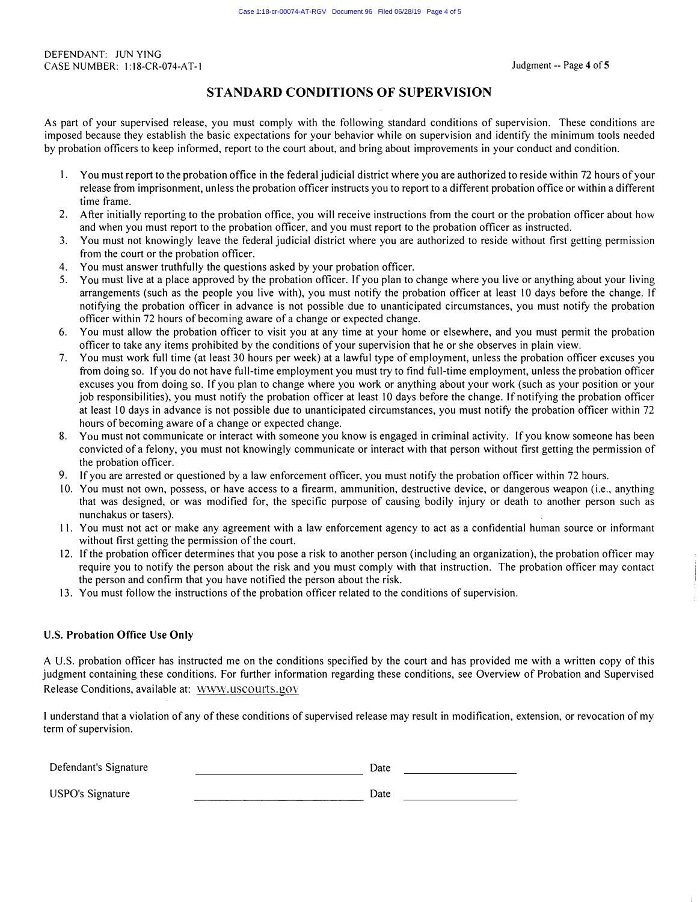### STANDARD CONDITIONS OF SUPERVISION

As part of your supervised release, you must comply with the following standard conditions of supervision. These conditions are imposed because they establish the basic expectations for your behavior while on supervision and identify the minimum tools needed by probation officers to keep informed, report to the court about, and bring about improvements in your conduct and condition.

A U.S. probation officer has instructed me on the conditions specified by the court and has provided me with a written copy of this judgment containing these conditions. For further information regarding these conditions, see Overview of Probation and Supervised Release Conditions, available at: WWW.USCOUrts.gov

- 1. You must report to the probation office in the federal judicial district where you are authorized to reside within 72 hours of your release from imprisonment, unless the probation officer instructs you to report to a different probation office or within a different time frame.
- 2. After initially reporting to the probation office, you will receive instructions from the court or the probation officer about how and when you must report to the probation officer, and you must report to the probation officer as instructed.
- 3. You must not knowingly leave the federal judicial district where you are authorized to reside without first getting permission from the court or the probation officer.
- 4. You must answer truthfully the questions asked by your probation officer.
- 5. You must live at a place approved by the probation officer. If you plan to change where you live or anything about your living arrangements (such as the people you live with), you must notify the probation officer at least 10 days before the change. If notifying the probation officer in advance is not possible due to unanticipated circumstances, you must notify the probation officer within 72 hours of becoming aware of a change or expected change.
- 6. You must allow the probation officer to visit you at any time at your home or elsewhere, and you must permit the probation officer to take any items prohibited by the conditions of your supervision that he or she observes in plain view.
- 7. You must work full time (at least 30 hours per week) at a lawful type of employment, unless the probation officer excuses you from doing so. If you do not have full-time employment you must try to find full-time employment, unless the probation officer excuses you from doing so. If you plan to change where you work or anything about your work (such as your position or your job responsibilities), you must notify the probation officer at least 10 days before the change. If notifying the probation officer at least 10 days in advance is not possible due to unanticipated circumstances, you must notify the probation officer within 72 hours of becoming aware of a change or expected change.
- 8. You must not communicate or interact with someone you know is engaged in criminal activity. If you know someone has been convicted of a felony, you must not knowingly communicate or interact with that person without first getting the permission of the probation officer.
- 9. If you are arrested or questioned by a law enforcement officer, you must notify the probation officer within 72 hours.
- 10. You must not own, possess, or have access to a firearm, ammunition, destructive device, or dangerous weapon (i.e., anything that was designed, or was modified for, the specific purpose of causing bodily injury or death to another person such as nunchakus or tasers). 11. You must not act or make any agreement with a law enforcement agency to act as a confidential human source or informant without first getting the permission of the court. 12. If the probation officer determines that you pose a risk to another person (including an organization), the probation officer may require you to notify the person about the risk and you must comply with that instruction. The probation officer may contact the person and confirm that you have notified the person about the risk. 13. You must follow the instructions of the probation officer related to the conditions of supervision.

### U.S. Probation Office Use Only

I understand that a violation of any of these conditions of supervised release may result in modification, extension, or revocation of my term of supervision.

| Defendant's Signature   | Date |
|-------------------------|------|
| <b>USPO's Signature</b> | Date |

#### DEFENDANT: JUN YING CASE NUMBER: 1:18-CR-074-AT-1 Judgment -- Page 4 of 5